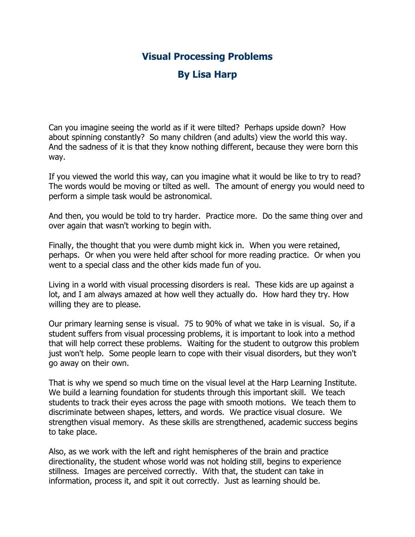## **Visual Processing Problems**

## **By Lisa Harp**

Can you imagine seeing the world as if it were tilted? Perhaps upside down? How about spinning constantly? So many children (and adults) view the world this way. And the sadness of it is that they know nothing different, because they were born this way.

If you viewed the world this way, can you imagine what it would be like to try to read? The words would be moving or tilted as well. The amount of energy you would need to perform a simple task would be astronomical.

And then, you would be told to try harder. Practice more. Do the same thing over and over again that wasn't working to begin with.

Finally, the thought that you were dumb might kick in. When you were retained, perhaps. Or when you were held after school for more reading practice. Or when you went to a special class and the other kids made fun of you.

Living in a world with visual processing disorders is real. These kids are up against a lot, and I am always amazed at how well they actually do. How hard they try. How willing they are to please.

Our primary learning sense is visual. 75 to 90% of what we take in is visual. So, if a student suffers from visual processing problems, it is important to look into a method that will help correct these problems. Waiting for the student to outgrow this problem just won't help. Some people learn to cope with their visual disorders, but they won't go away on their own.

That is why we spend so much time on the visual level at the Harp Learning Institute. We build a learning foundation for students through this important skill. We teach students to track their eyes across the page with smooth motions. We teach them to discriminate between shapes, letters, and words. We practice visual closure. We strengthen visual memory. As these skills are strengthened, academic success begins to take place.

Also, as we work with the left and right hemispheres of the brain and practice directionality, the student whose world was not holding still, begins to experience stillness. Images are perceived correctly. With that, the student can take in information, process it, and spit it out correctly. Just as learning should be.